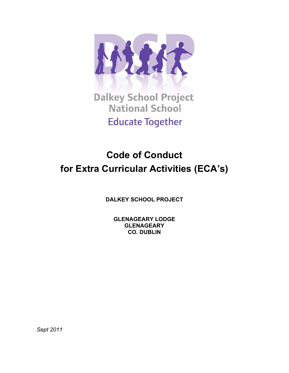

**Dalkey School Project National School Educate Together** 

# **Code of Conduct for Extra Curricular Activities (ECA's)**

**DALKEY SCHOOL PROJECT**

**GLENAGEARY LODGE GLENAGEARY CO. DUBLIN**

*Sept 2011*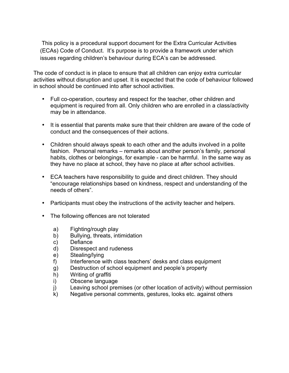This policy is a procedural support document for the Extra Curricular Activities (ECAs) Code of Conduct. It's purpose is to provide a framework under which issues regarding children's behaviour during ECA's can be addressed.

The code of conduct is in place to ensure that all children can enjoy extra curricular activities without disruption and upset. It is expected that the code of behaviour followed in school should be continued into after school activities.

- Full co-operation, courtesy and respect for the teacher, other children and equipment is required from all. Only children who are enrolled in a class/activity may be in attendance.
- It is essential that parents make sure that their children are aware of the code of conduct and the consequences of their actions.
- Children should always speak to each other and the adults involved in a polite fashion. Personal remarks – remarks about another person's family, personal habits, clothes or belongings, for example - can be harmful. In the same way as they have no place at school, they have no place at after school activities.
- ECA teachers have responsibility to guide and direct children. They should "encourage relationships based on kindness, respect and understanding of the needs of others".
- Participants must obey the instructions of the activity teacher and helpers.
- The following offences are not tolerated
	- a) Fighting/rough play
	- b) Bullying, threats, intimidation
	- c) Defiance
	- d) Disrespect and rudeness
	- e) Stealing/lying
	- f) Interference with class teachers' desks and class equipment
	- g) Destruction of school equipment and people's property
	- h) Writing of graffiti
	- i) Obscene language
	- j) Leaving school premises (or other location of activity) without permission
	- k) Negative personal comments, gestures, looks etc. against others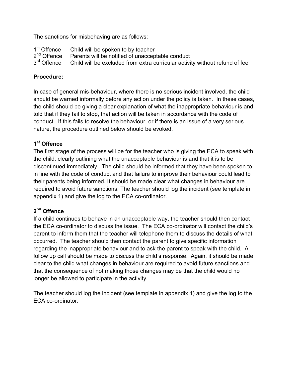The sanctions for misbehaving are as follows:

 $1<sup>st</sup>$  Offence Child will be spoken to by teacher  $2<sup>nd</sup>$  Offence Parents will be notified of unaccep  $2^{nd}$  Offence Parents will be notified of unacceptable conduct  $3^{rd}$  Offence Child will be excluded from extra curricular activi Child will be excluded from extra curricular activity without refund of fee

## **Procedure:**

In case of general mis-behaviour, where there is no serious incident involved, the child should be warned informally before any action under the policy is taken. In these cases, the child should be giving a clear explanation of what the inappropriate behaviour is and told that if they fail to stop, that action will be taken in accordance with the code of conduct. If this fails to resolve the behaviour, or if there is an issue of a very serious nature, the procedure outlined below should be evoked.

## **1st Offence**

The first stage of the process will be for the teacher who is giving the ECA to speak with the child, clearly outlining what the unacceptable behaviour is and that it is to be discontinued immediately. The child should be informed that they have been spoken to in line with the code of conduct and that failure to improve their behaviour could lead to their parents being informed. It should be made clear what changes in behaviour are required to avoid future sanctions. The teacher should log the incident (see template in appendix 1) and give the log to the ECA co-ordinator.

## **2nd Offence**

If a child continues to behave in an unacceptable way, the teacher should then contact the ECA co-ordinator to discuss the issue. The ECA co-ordinator will contact the child's parent to inform them that the teacher will telephone them to discuss the details of what occurred. The teacher should then contact the parent to give specific information regarding the inappropriate behaviour and to ask the parent to speak with the child. A follow up call should be made to discuss the child's response. Again, it should be made clear to the child what changes in behaviour are required to avoid future sanctions and that the consequence of not making those changes may be that the child would no longer be allowed to participate in the activity.

The teacher should log the incident (see template in appendix 1) and give the log to the ECA co-ordinator.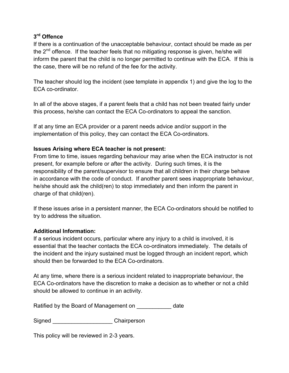## **3rd Offence**

If there is a continuation of the unacceptable behaviour, contact should be made as per the  $2^{nd}$  offence. If the teacher feels that no mitigating response is given, he/she will inform the parent that the child is no longer permitted to continue with the ECA. If this is the case, there will be no refund of the fee for the activity.

The teacher should log the incident (see template in appendix 1) and give the log to the ECA co-ordinator.

In all of the above stages, if a parent feels that a child has not been treated fairly under this process, he/she can contact the ECA Co-ordinators to appeal the sanction.

If at any time an ECA provider or a parent needs advice and/or support in the implementation of this policy, they can contact the ECA Co-ordinators.

## **Issues Arising where ECA teacher is not present:**

From time to time, issues regarding behaviour may arise when the ECA instructor is not present, for example before or after the activity. During such times, it is the responsibility of the parent/supervisor to ensure that all children in their charge behave in accordance with the code of conduct. If another parent sees inappropriate behaviour, he/she should ask the child(ren) to stop immediately and then inform the parent in charge of that child(ren).

If these issues arise in a persistent manner, the ECA Co-ordinators should be notified to try to address the situation.

## **Additional Information:**

If a serious incident occurs, particular where any injury to a child is involved, it is essential that the teacher contacts the ECA co-ordinators immediately. The details of the incident and the injury sustained must be logged through an incident report, which should then be forwarded to the ECA Co-ordinators.

At any time, where there is a serious incident related to inappropriate behaviour, the ECA Co-ordinators have the discretion to make a decision as to whether or not a child should be allowed to continue in an activity.

Ratified by the Board of Management on date

Signed Chairperson

This policy will be reviewed in 2-3 years.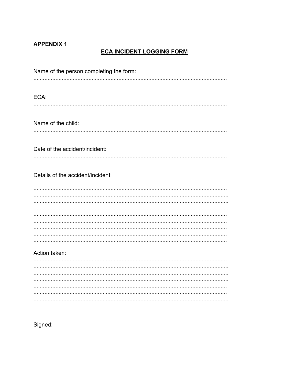## **APPENDIX 1**

# **ECA INCIDENT LOGGING FORM**

| Name of the person completing the form: |
|-----------------------------------------|
|                                         |
|                                         |
|                                         |
| ECA:                                    |
|                                         |
|                                         |
| Name of the child:                      |
|                                         |
|                                         |
|                                         |
| Date of the accident/incident:          |
|                                         |
|                                         |
|                                         |
| Details of the accident/incident:       |
|                                         |
|                                         |
|                                         |
|                                         |
|                                         |
|                                         |
|                                         |
|                                         |
|                                         |
|                                         |
| Action taken:                           |
|                                         |
|                                         |
|                                         |
|                                         |
|                                         |
|                                         |
|                                         |
|                                         |

Signed: